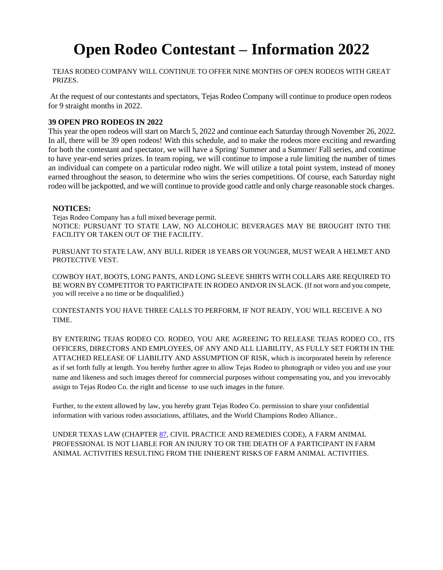# **Open Rodeo Contestant – Information 2022**

TEJAS RODEO COMPANY WILL CONTINUE TO OFFER NINE MONTHS OF OPEN RODEOS WITH GREAT PRIZES.

At the request of our contestants and spectators, Tejas Rodeo Company will continue to produce open rodeos for 9 straight months in 2022.

## **39 OPEN PRO RODEOS IN 2022**

This year the open rodeos will start on March 5, 2022 and continue each Saturday through November 26, 2022. In all, there will be 39 open rodeos! With this schedule, and to make the rodeos more exciting and rewarding for both the contestant and spectator, we will have a Spring/ Summer and a Summer/ Fall series, and continue to have year-end series prizes. In team roping, we will continue to impose a rule limiting the number of times an individual can compete on a particular rodeo night. We will utilize a total point system, instead of money earned throughout the season, to determine who wins the series competitions. Of course, each Saturday night rodeo will be jackpotted, and we will continue to provide good cattle and only charge reasonable stock charges.

## **NOTICES:**

Tejas Rodeo Company has a full mixed beverage permit. NOTICE: PURSUANT TO STATE LAW, NO ALCOHOLIC BEVERAGES MAY BE BROUGHT INTO THE FACILITY OR TAKEN OUT OF THE FACILITY.

PURSUANT TO STATE LAW, ANY BULL RIDER 18 YEARS OR YOUNGER, MUST WEAR A HELMET AND PROTECTIVE VEST.

COWBOY HAT, BOOTS, LONG PANTS, AND LONG SLEEVE SHIRTS WITH COLLARS ARE REQUIRED TO BE WORN BY COMPETITOR TO PARTICIPATE IN RODEO AND/OR IN SLACK. (If not worn and you compete, you will receive a no time or be disqualified.)

CONTESTANTS YOU HAVE THREE CALLS TO PERFORM, IF NOT READY, YOU WILL RECEIVE A NO TIME.

BY ENTERING TEJAS RODEO CO. RODEO, YOU ARE AGREEING TO RELEASE TEJAS RODEO CO., ITS OFFICERS, DIRECTORS AND EMPLOYEES, OF ANY AND ALL LIABILITY, AS FULLY SET FORTH IN THE ATTACHED RELEASE OF LIABILITY AND ASSUMPTION OF RISK, which is incorporated herein by reference as if set forth fully at length. You hereby further agree to allow Tejas Rodeo to photograph or video you and use your name and likeness and such images thereof for commercial purposes without compensating you, and you irrevocably assign to Tejas Rodeo Co. the right and license to use such images in the future.

Further, to the extent allowed by law, you hereby grant Tejas Rodeo Co. permission to share your confidential information with various rodeo associations, affiliates, and the World Champions Rodeo Alliance..

UNDER TEXAS LAW (CHAPTER [87, C](http://www.statutes.legis.state.tx.us/GetStatute.aspx?Code=CP&Value=87)IVIL PRACTICE AND REMEDIES CODE), A FARM ANIMAL PROFESSIONAL IS NOT LIABLE FOR AN INJURY TO OR THE DEATH OF A PARTICIPANT IN FARM ANIMAL ACTIVITIES RESULTING FROM THE INHERENT RISKS OF FARM ANIMAL ACTIVITIES.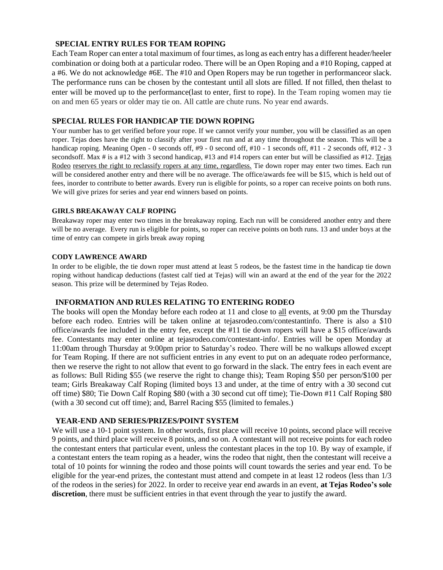# **SPECIAL ENTRY RULES FOR TEAM ROPING**

Each Team Roper can enter a total maximum of four times, aslong as each entry has a different header/heeler combination or doing both at a particular rodeo. There will be an Open Roping and a #10 Roping, capped at a #6. We do not acknowledge #6E. The #10 and Open Ropers may be run together in performanceor slack. The performance runs can be chosen by the contestant until all slots are filled. If not filled, then thelast to enter will be moved up to the performance(last to enter, first to rope). In the Team roping women may tie on and men 65 years or older may tie on. All cattle are chute runs. No year end awards.

## **SPECIAL RULES FOR HANDICAP TIE DOWN ROPING**

Your number has to get verified before your rope. If we cannot verify your number, you will be classified as an open roper. Tejas does have the right to classify after your first run and at any time throughout the season. This will be a handicap roping. Meaning Open - 0 seconds off, #9 - 0 second off, #10 - 1 seconds off, #11 - 2 seconds off, #12 - 3 secondsoff. Max # is a #12 with 3 second handicap, #13 and #14 ropers can enter but will be classified as #12. Tejas Rodeo reserves the right to reclassify ropers at any time, regardless. Tie down roper may enter two times. Each run will be considered another entry and there will be no average. The office/awards fee will be \$15, which is held out of fees, inorder to contribute to better awards. Every run is eligible for points, so a roper can receive points on both runs. We will give prizes for series and year end winners based on points.

## **GIRLS BREAKAWAY CALF ROPING**

Breakaway roper may enter two times in the breakaway roping. Each run will be considered another entry and there will be no average. Every run is eligible for points, so roper can receive points on both runs. 13 and under boys at the time of entry can compete in girls break away roping

## **CODY LAWRENCE AWARD**

In order to be eligible, the tie down roper must attend at least 5 rodeos, be the fastest time in the handicap tie down roping without handicap deductions (fastest calf tied at Tejas) will win an award at the end of the year for the 2022 season. This prize will be determined by Tejas Rodeo.

## **INFORMATION AND RULES RELATING TO ENTERING RODEO**

The books will open the Monday before each rodeo at 11 and close to all events, at 9:00 pm the Thursday before each rodeo. Entries will be taken online at tejasrodeo.com/contestantinfo. There is also a \$10 office/awards fee included in the entry fee, except the #11 tie down ropers will have a \$15 office/awards fee. Contestants may enter online at tejasrodeo.com/contestant-info/. Entries will be open Monday at 11:00am through Thursday at 9:00pm prior to Saturday's rodeo. There will be no walkups allowed except for Team Roping. If there are not sufficient entries in any event to put on an adequate rodeo performance, then we reserve the right to not allow that event to go forward in the slack. The entry fees in each event are as follows: Bull Riding \$55 (we reserve the right to change this); Team Roping \$50 per person/\$100 per team; Girls Breakaway Calf Roping (limited boys 13 and under, at the time of entry with a 30 second cut off time) \$80; Tie Down Calf Roping \$80 (with a 30 second cut off time); Tie-Down #11 Calf Roping \$80 (with a 30 second cut off time); and, Barrel Racing \$55 (limited to females.)

## **YEAR-END AND SERIES/PRIZES/POINT SYSTEM**

We will use a 10-1 point system. In other words, first place will receive 10 points, second place will receive 9 points, and third place will receive 8 points, and so on. A contestant will not receive points for each rodeo the contestant enters that particular event, unless the contestant places in the top 10. By way of example, if a contestant enters the team roping as a header, wins the rodeo that night, then the contestant will receive a total of 10 points for winning the rodeo and those points will count towards the series and year end. To be eligible for the year-end prizes, the contestant must attend and compete in at least 12 rodeos (less than 1/3 of the rodeos in the series) for 2022. In order to receive year end awards in an event, **at Tejas Rodeo's sole discretion**, there must be sufficient entries in that event through the year to justify the award.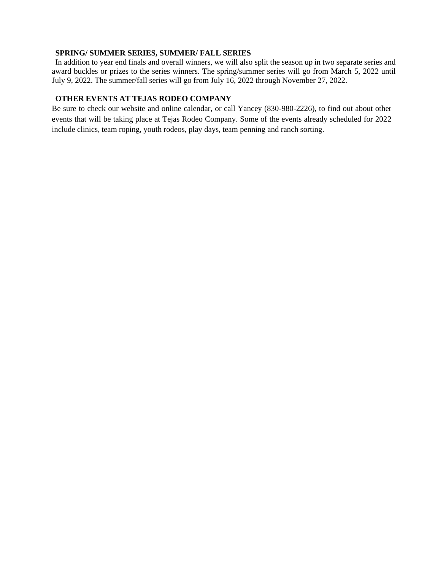## **SPRING/ SUMMER SERIES, SUMMER/ FALL SERIES**

In addition to year end finals and overall winners, we will also split the season up in two separate series and award buckles or prizes to the series winners. The spring/summer series will go from March 5, 2022 until July 9, 2022. The summer/fall series will go from July 16, 2022 through November 27, 2022.

# **OTHER EVENTS AT TEJAS RODEO COMPANY**

Be sure to check our website and online calendar, or call Yancey (830-980-2226), to find out about other events that will be taking place at Tejas Rodeo Company. Some of the events already scheduled for 2022 include clinics, team roping, youth rodeos, play days, team penning and ranch sorting.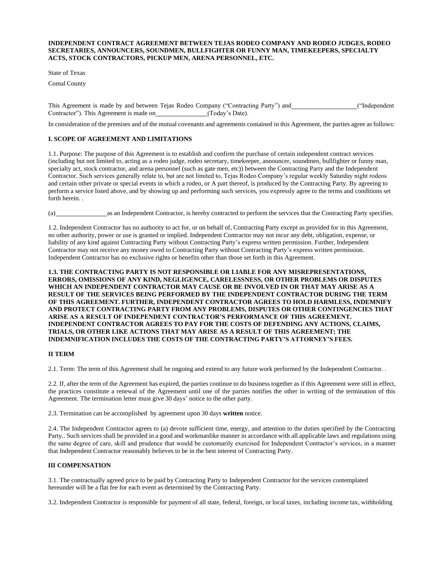#### **INDEPENDENT CONTRACT AGREEMENT BETWEEN TEJAS RODEO COMPANY AND RODEO JUDGES, RODEO SECRETARIES, ANNOUNCERS, SOUNDMEN, BULLFIGHTER OR FUNNY MAN, TIMEKEEPERS, SPECIALTY ACTS, STOCK CONTRACTORS, PICKUP MEN, ARENA PERSONNEL, ETC.**

State of Texas

Comal County

This Agreement is made by and between Tejas Rodeo Company ("Contracting Party") and \_\_\_\_\_\_\_\_\_\_\_\_\_\_\_("Independent Contractor"). This Agreement is made on (Today's Date).

In consideration of the premises and of the mutual covenants and agreements contained in this Agreement, the parties agree as follows:

#### **I. SCOPE OF AGREEMENT AND LIMITATIONS**

1.1. Purpose: The purpose of this Agreement is to establish and confirm the purchase of certain independent contract services (including but not limited to, acting as a rodeo judge, rodeo secretary, timekeeper, announcer, soundmen, bullfighter or funny man, specialty act, stock contractor, and arena personnel (such as gate men, etc)) between the Contracting Party and the Independent Contractor. Such services generally relate to, but are not limited to, Tejas Rodeo Company's regular weekly Saturday night rodeos and certain other private or special events in which a rodeo, or A part thereof, is produced by the Contracting Party. By agreeing to perform a service listed above, and by showing up and performing such services, you expressly agree to the terms and conditions set forth herein. .

(a) as an Independent Contractor, is hereby contracted to perform the services that the Contracting Party specifies.

1.2. Independent Contractor has no authority to act for, or on behalf of, Contracting Party except as provided for in this Agreement, no other authority, power or use is granted or implied. Independent Contractor may not incur any debt, obligation, expense, or liability of any kind against Contracting Party without Contracting Party's express written permission. Further, Independent Contractor may not receive any money owed to Contracting Party without Contracting Party's express written permission. Independent Contractor has no exclusive rights or benefits other than those set forth in this Agreement.

#### **1.3. THE CONTRACTING PARTY IS NOT RESPONSIBLE OR LIABLE FOR ANY MISREPRESENTATIONS, ERRORS, OMISSIONS OF ANY KIND, NEGLIGENCE, CARELESSNESS, OR OTHER PROBLEMS OR DISPUTES WHICH AN INDEPENDENT CONTRACTOR MAY CAUSE OR BE INVOLVED IN OR THAT MAY ARISE AS A RESULT OF THE SERVICES BEING PERFORMED BY THE INDEPENDENT CONTRACTOR DURING THE TERM OF THIS AGREEMENT. FURTHER, INDEPENDENT CONTRACTOR AGREES TO HOLD HARMLESS, INDEMNIFY AND PROTECT CONTRACTING PARTY FROM ANY PROBLEMS, DISPUTES OR OTHER CONTINGENCIES THAT ARISE AS A RESULT OF INDEPENDENT CONTRACTOR'S PERFORMANCE OF THIS AGREEMENT. INDEPENDENT CONTRACTOR AGREES TO PAY FOR THE COSTS OF DEFENDING ANY ACTIONS, CLAIMS, TRIALS, OR OTHER LIKE ACTIONS THAT MAY ARISE AS A RESULT OF THIS AGREEMENT; THE INDEMNIFICATION INCLUDES THE COSTS OF THE CONTRACTING PARTY'S ATTORNEY'S FEES.**

#### **II TERM**

2.1. Term: The term of this Agreement shall be ongoing and extend to any future work performed by the Independent Contractor. .

2.2. If, after the term of the Agreement has expired, the parties continue to do business together as if this Agreement were still in effect, the practices constitute a renewal of the Agreement until one of the parties notifies the other in writing of the termination of this Agreement. The termination letter must give 30 days' notice to the other party.

2.3. Termination can be accomplished by agreement upon 30 days **written** notice.

2.4. The Independent Contractor agrees to (a) devote sufficient time, energy, and attention to the duties specified by the Contracting Party.. Such services shall be provided in a good and workmanlike manner in accordance with all applicable laws and regulations using the same degree of care, skill and prudence that would be customarily exercised for Independent Contractor's services, in a manner that Independent Contractor reasonably believes to be in the best interest of Contracting Party.

#### **III COMPENSATION**

3.1. The contractually agreed price to be paid by Contracting Party to Independent Contractor for the services contemplated hereunder will be a flat fee for each event as determined by the Contracting Party.

3.2. Independent Contractor is responsible for payment of all state, federal, foreign, or local taxes, including income tax, withholding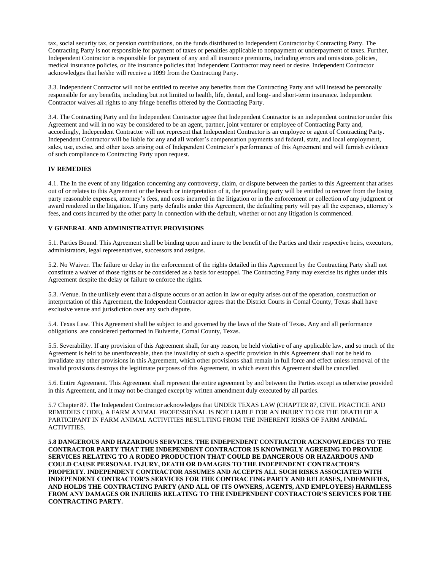tax, social security tax, or pension contributions, on the funds distributed to Independent Contractor by Contracting Party. The Contracting Party is not responsible for payment of taxes or penalties applicable to nonpayment or underpayment of taxes. Further, Independent Contractor is responsible for payment of any and all insurance premiums, including errors and omissions policies, medical insurance policies, or life insurance policies that Independent Contractor may need or desire. Independent Contractor acknowledges that he/she will receive a 1099 from the Contracting Party.

3.3. Independent Contractor will not be entitled to receive any benefits from the Contracting Party and will instead be personally responsible for any benefits, including but not limited to health, life, dental, and long- and short-term insurance. Independent Contractor waives all rights to any fringe benefits offered by the Contracting Party.

3.4. The Contracting Party and the Independent Contractor agree that Independent Contractor is an independent contractor under this Agreement and will in no way be considered to be an agent, partner, joint venturer or employee of Contracting Party and, accordingly, Independent Contractor will not represent that Independent Contractor is an employee or agent of Contracting Party. Independent Contractor will be liable for any and all worker's compensation payments and federal, state, and local employment, sales, use, excise, and other taxes arising out of Independent Contractor's performance of this Agreement and will furnish evidence of such compliance to Contracting Party upon request.

#### **IV REMEDIES**

4.1. The In the event of any litigation concerning any controversy, claim, or dispute between the parties to this Agreement that arises out of or relates to this Agreement or the breach or interpretation of it, the prevailing party will be entitled to recover from the losing party reasonable expenses, attorney's fees, and costs incurred in the litigation or in the enforcement or collection of any judgment or award rendered in the litigation. If any party defaults under this Agreement, the defaulting party will pay all the expenses, attorney's fees, and costs incurred by the other party in connection with the default, whether or not any litigation is commenced.

#### **V GENERAL AND ADMINISTRATIVE PROVISIONS**

5.1. Parties Bound. This Agreement shall be binding upon and inure to the benefit of the Parties and their respective heirs, executors, administrators, legal representatives, successors and assigns.

5.2. No Waiver. The failure or delay in the enforcement of the rights detailed in this Agreement by the Contracting Party shall not constitute a waiver of those rights or be considered as a basis for estoppel. The Contracting Party may exercise its rights under this Agreement despite the delay or failure to enforce the rights.

5.3. /Venue. In the unlikely event that a dispute occurs or an action in law or equity arises out of the operation, construction or interpretation of this Agreement, the Independent Contractor agrees that the District Courts in Comal County, Texas shall have exclusive venue and jurisdiction over any such dispute.

5.4. Texas Law. This Agreement shall be subject to and governed by the laws of the State of Texas. Any and all performance obligations are considered performed in Bulverde, Comal County, Texas.

5.5. Severability. If any provision of this Agreement shall, for any reason, be held violative of any applicable law, and so much of the Agreement is held to be unenforceable, then the invalidity of such a specific provision in this Agreement shall not be held to invalidate any other provisions in this Agreement, which other provisions shall remain in full force and effect unless removal of the invalid provisions destroys the legitimate purposes of this Agreement, in which event this Agreement shall be cancelled.

5.6. Entire Agreement. This Agreement shall represent the entire agreement by and between the Parties except as otherwise provided in this Agreement, and it may not be changed except by written amendment duly executed by all parties.

5.7 Chapter 87. The Independent Contractor acknowledges that UNDER TEXAS LAW (CHAPTER 87, CIVIL PRACTICE AND REMEDIES CODE), A FARM ANIMAL PROFESSIONAL IS NOT LIABLE FOR AN INJURY TO OR THE DEATH OF A PARTICIPANT IN FARM ANIMAL ACTIVITIES RESULTING FROM THE INHERENT RISKS OF FARM ANIMAL ACTIVITIES.

**5.8 DANGEROUS AND HAZARDOUS SERVICES. THE INDEPENDENT CONTRACTOR ACKNOWLEDGES TO THE CONTRACTOR PARTY THAT THE INDEPENDENT CONTRACTOR IS KNOWINGLY AGREEING TO PROVIDE SERVICES RELATING TO A RODEO PRODUCTION THAT COULD BE DANGEROUS OR HAZARDOUS AND COULD CAUSE PERSONAL INJURY, DEATH OR DAMAGES TO THE INDEPENDENT CONTRACTOR'S PROPERTY. INDEPENDENT CONTRACTOR ASSUMES AND ACCEPTS ALL SUCH RISKS ASSOCIATED WITH INDEPENDENT CONTRACTOR'S SERVICES FOR THE CONTRACTING PARTY AND RELEASES, INDEMNIFIES, AND HOLDS THE CONTRACTING PARTY (AND ALL OF ITS OWNERS, AGENTS, AND EMPLOYEES) HARMLESS FROM ANY DAMAGES OR INJURIES RELATING TO THE INDEPENDENT CONTRACTOR'S SERVICES FOR THE CONTRACTING PARTY.**